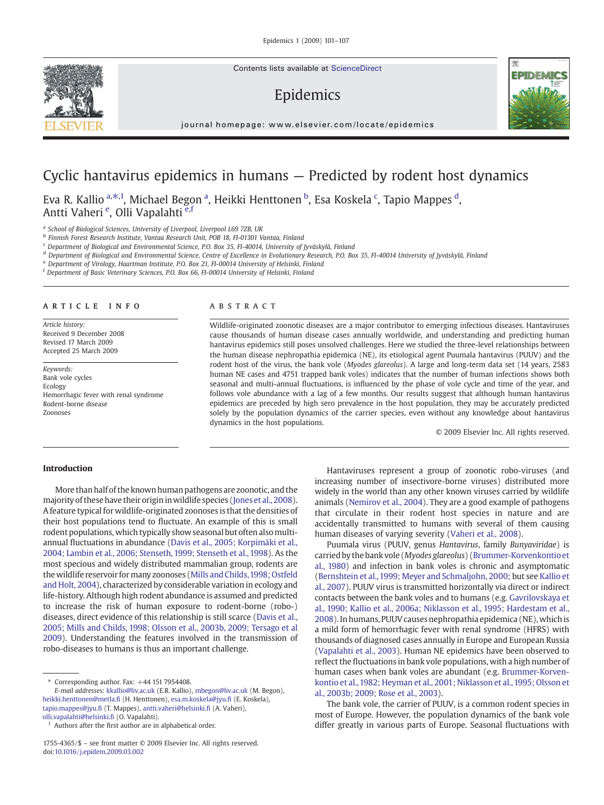Contents lists available at [ScienceDirect](http://www.sciencedirect.com/science/journal/0017554365)

# Epidemics



journal homepage: www.elsevier.com/locate/epidemics

# Cyclic hantavirus epidemics in humans — Predicted by rodent host dynamics

Eva R. Kallio <sup>a, $\ast$ ,1, Michael Begon <sup>a</sup>, Heikki Henttonen <sup>b</sup>, Esa Koskela <sup>c</sup>, Tapio Mappes <sup>d</sup>,</sup> Antti Vaheri <sup>e</sup>, Olli Vapalahti <sup>e,f</sup>

<sup>a</sup> School of Biological Sciences, University of Liverpool, Liverpool L69 7ZB, UK

<sup>b</sup> Finnish Forest Research Institute, Vantaa Research Unit, POB 18, FI-01301 Vantaa, Finland

<sup>c</sup> Department of Biological and Environmental Science, P.O. Box 35, FI-40014, University of Jyväskylä, Finland

<sup>d</sup> Department of Biological and Environmental Science, Centre of Excellence in Evolutionary Research, P.O. Box 35, FI-40014 University of Jyväskylä, Finland

<sup>e</sup> Department of Virology, Haartman Institute, P.O. Box 21, FI-00014 University of Helsinki, Finland

<sup>f</sup> Department of Basic Veterinary Sciences, P.O. Box 66, FI-00014 University of Helsinki, Finland

### article info abstract

Article history: Received 9 December 2008 Revised 17 March 2009 Accepted 25 March 2009

Keywords: Bank vole cycles Ecology Hemorrhagic fever with renal syndrome Rodent-borne disease Zoonoses

Wildlife-originated zoonotic diseases are a major contributor to emerging infectious diseases. Hantaviruses cause thousands of human disease cases annually worldwide, and understanding and predicting human hantavirus epidemics still poses unsolved challenges. Here we studied the three-level relationships between the human disease nephropathia epidemica (NE), its etiological agent Puumala hantavirus (PUUV) and the rodent host of the virus, the bank vole (Myodes glareolus). A large and long-term data set (14 years, 2583 human NE cases and 4751 trapped bank voles) indicates that the number of human infections shows both seasonal and multi-annual fluctuations, is influenced by the phase of vole cycle and time of the year, and follows vole abundance with a lag of a few months. Our results suggest that although human hantavirus epidemics are preceded by high sero prevalence in the host population, they may be accurately predicted solely by the population dynamics of the carrier species, even without any knowledge about hantavirus dynamics in the host populations.

© 2009 Elsevier Inc. All rights reserved.

### Introduction

More than half of the known human pathogens are zoonotic, and the majority of these have their origin inwildlife species ([Jones et al., 2008](#page-6-0)). A feature typical for wildlife-originated zoonoses is that the densities of their host populations tend to fluctuate. An example of this is small rodent populations, which typically show seasonal but often alsomultiannual fluctuations in abundance [\(Davis et al., 2005; Korpimäki et al.,](#page-6-0) [2004; Lambin et al., 2006; Stenseth, 1999; Stenseth et al., 1998](#page-6-0)). As the most specious and widely distributed mammalian group, rodents are thewildlife reservoir formany zoonoses [\(Mills and Childs,1998; Ostfeld](#page-6-0) [and Holt, 2004\)](#page-6-0), characterized by considerable variation in ecology and life-history. Although high rodent abundance is assumed and predicted to increase the risk of human exposure to rodent-borne (robo-) diseases, direct evidence of this relationship is still scarce [\(Davis et al.,](#page-6-0) [2005; Mills and Childs, 1998; Olsson et al., 2003b, 2009; Tersago et al](#page-6-0) [2009\)](#page-6-0). Understanding the features involved in the transmission of robo-diseases to humans is thus an important challenge.

 $1$  Authors after the first author are in alphabetical order.

Hantaviruses represent a group of zoonotic robo-viruses (and increasing number of insectivore-borne viruses) distributed more widely in the world than any other known viruses carried by wildlife animals [\(Nemirov et al., 2004\)](#page-6-0). They are a good example of pathogens that circulate in their rodent host species in nature and are accidentally transmitted to humans with several of them causing human diseases of varying severity [\(Vaheri et al., 2008\)](#page-6-0).

Puumala virus (PUUV, genus Hantavirus, family Bunyaviridae) is carried by the bank vole (Myodes glareolus) ([Brummer-Korvenkontio et](#page-6-0) [al., 1980](#page-6-0)) and infection in bank voles is chronic and asymptomatic [\(Bernshtein et al., 1999; Meyer and Schmaljohn, 2000;](#page-6-0) but see [Kallio et](#page-6-0) [al., 2007\)](#page-6-0). PUUV virus is transmitted horizontally via direct or indirect contacts between the bank voles and to humans (e.g. [Gavrilovskaya et](#page-6-0) [al., 1990; Kallio et al., 2006a; Niklasson et al., 1995; Hardestam et al.,](#page-6-0) [2008\)](#page-6-0). In humans, PUUV causes nephropathia epidemica (NE), whichis a mild form of hemorrhagic fever with renal syndrome (HFRS) with thousands of diagnosed cases annually in Europe and European Russia [\(Vapalahti et al., 2003](#page-6-0)). Human NE epidemics have been observed to reflect the fluctuations in bank vole populations, with a high number of human cases when bank voles are abundant (e.g. [Brummer-Korven](#page-6-0)[kontio et al.,1982; Heyman et al., 2001; Niklasson et al.,1995; Olsson et](#page-6-0) [al., 2003b; 2009; Rose et al., 2003\)](#page-6-0).

The bank vole, the carrier of PUUV, is a common rodent species in most of Europe. However, the population dynamics of the bank vole differ greatly in various parts of Europe. Seasonal fluctuations with



Corresponding author. Fax:  $+44$  151 7954408.

E-mail addresses: [kkallio@liv.ac.uk](mailto:kkallio@liv.ac.uk) (E.R. Kallio), [mbegon@liv.ac.uk](mailto:mbegon@liv.ac.uk) (M. Begon), [heikki.henttonen@metla.](mailto:heikki.henttonen@metla.fi)fi (H. Henttonen), [esa.m.koskela@jyu.](mailto:esa.m.koskela@jyu.fi)fi (E. Koskela), [tapio.mappes@jyu.](mailto:tapio.mappes@jyu.fi)fi (T. Mappes), [antti.vaheri@helsinki.](mailto:antti.vaheri@helsinki.fi)fi (A. Vaheri), [olli.vapalahti@helsinki.](mailto:olli.vapalahti@helsinki.fi)fi (O. Vapalahti).

<sup>1755-4365/\$</sup> – see front matter © 2009 Elsevier Inc. All rights reserved. doi:[10.1016/j.epidem.2009.03.002](http://dx.doi.org/10.1016/j.epidem.2009.03.002)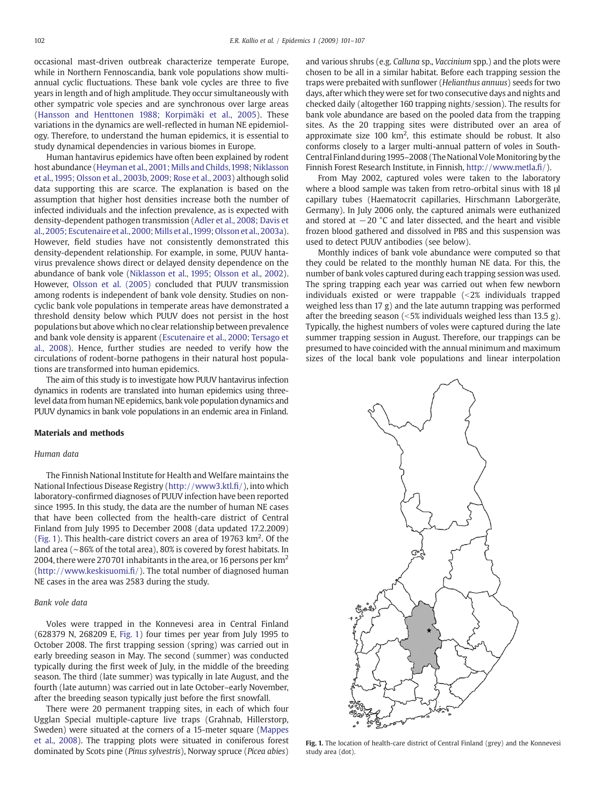occasional mast-driven outbreak characterize temperate Europe, while in Northern Fennoscandia, bank vole populations show multiannual cyclic fluctuations. These bank vole cycles are three to five years in length and of high amplitude. They occur simultaneously with other sympatric vole species and are synchronous over large areas [\(Hansson and Henttonen 1988; Korpimäki et al., 2005](#page-6-0)). These variations in the dynamics are well-reflected in human NE epidemiology. Therefore, to understand the human epidemics, it is essential to study dynamical dependencies in various biomes in Europe.

Human hantavirus epidemics have often been explained by rodent host abundance [\(Heyman et al., 2001; Mills and Childs,1998; Niklasson](#page-6-0) [et al., 1995; Olsson et al., 2003b, 2009; Rose et al., 2003](#page-6-0)) although solid data supporting this are scarce. The explanation is based on the assumption that higher host densities increase both the number of infected individuals and the infection prevalence, as is expected with density-dependent pathogen transmission ([Adler et al., 2008; Davis et](#page-6-0) al., 2005; Escutenaire et al., 2000; Mills et al., 1999; Olsson et al., 2003a). However, field studies have not consistently demonstrated this density-dependent relationship. For example, in some, PUUV hantavirus prevalence shows direct or delayed density dependence on the abundance of bank vole [\(Niklasson et al., 1995; Olsson et al., 2002](#page-6-0)). However, [Olsson et al. \(2005\)](#page-6-0) concluded that PUUV transmission among rodents is independent of bank vole density. Studies on noncyclic bank vole populations in temperate areas have demonstrated a threshold density below which PUUV does not persist in the host populations but above which no clear relationship between prevalence and bank vole density is apparent [\(Escutenaire et al., 2000; Tersago et](#page-6-0) [al., 2008](#page-6-0)). Hence, further studies are needed to verify how the circulations of rodent-borne pathogens in their natural host populations are transformed into human epidemics.

The aim of this study is to investigate how PUUV hantavirus infection dynamics in rodents are translated into human epidemics using threelevel data from human NE epidemics, bank vole population dynamics and PUUV dynamics in bank vole populations in an endemic area in Finland.

# Materials and methods

#### Human data

The Finnish National Institute for Health and Welfare maintains the National Infectious Disease Registry [\(http://www3.ktl.](http://www3.ktl.fi/)fi/), into which laboratory-confirmed diagnoses of PUUV infection have been reported since 1995. In this study, the data are the number of human NE cases that have been collected from the health-care district of Central Finland from July 1995 to December 2008 (data updated 17.2.2009) (Fig. 1). This health-care district covers an area of  $19763 \text{ km}^2$ . Of the land area (∼86% of the total area), 80% is covered by forest habitats. In 2004, there were 270701 inhabitants in the area, or 16 persons per  $km<sup>2</sup>$ [\(http://www.keskisuomi.](http://www.keskisuomi.fi/)fi/). The total number of diagnosed human NE cases in the area was 2583 during the study.

### Bank vole data

Voles were trapped in the Konnevesi area in Central Finland (628379 N, 268209 E, Fig. 1) four times per year from July 1995 to October 2008. The first trapping session (spring) was carried out in early breeding season in May. The second (summer) was conducted typically during the first week of July, in the middle of the breeding season. The third (late summer) was typically in late August, and the fourth (late autumn) was carried out in late October–early November, after the breeding season typically just before the first snowfall.

There were 20 permanent trapping sites, in each of which four Ugglan Special multiple-capture live traps (Grahnab, Hillerstorp, Sweden) were situated at the corners of a 15-meter square ([Mappes](#page-6-0) [et al., 2008](#page-6-0)). The trapping plots were situated in coniferous forest dominated by Scots pine (Pinus sylvestris), Norway spruce (Picea abies) and various shrubs (e.g. Calluna sp., Vaccinium spp.) and the plots were chosen to be all in a similar habitat. Before each trapping session the traps were prebaited with sunflower (Helianthus annuus) seeds for two days, after which they were set for two consecutive days and nights and checked daily (altogether 160 trapping nights/session). The results for bank vole abundance are based on the pooled data from the trapping sites. As the 20 trapping sites were distributed over an area of approximate size  $100 \text{ km}^2$ , this estimate should be robust. It also conforms closely to a larger multi-annual pattern of voles in South-Central Finland during 1995–2008 (The National Vole Monitoring by the Finnish Forest Research Institute, in Finnish, [http://www.metla.](http://www.metla.fi/)fi/).

From May 2002, captured voles were taken to the laboratory where a blood sample was taken from retro-orbital sinus with 18 μl capillary tubes (Haematocrit capillaries, Hirschmann Laborgeräte, Germany). In July 2006 only, the captured animals were euthanized and stored at  $-20$  °C and later dissected, and the heart and visible frozen blood gathered and dissolved in PBS and this suspension was used to detect PUUV antibodies (see below).

Monthly indices of bank vole abundance were computed so that they could be related to the monthly human NE data. For this, the number of bank voles captured during each trapping session was used. The spring trapping each year was carried out when few newborn individuals existed or were trappable  $\langle 2 \rangle$  individuals trapped weighed less than 17 g) and the late autumn trapping was performed after the breeding season ( $\leq 5\%$  individuals weighed less than 13.5 g). Typically, the highest numbers of voles were captured during the late summer trapping session in August. Therefore, our trappings can be presumed to have coincided with the annual minimum and maximum sizes of the local bank vole populations and linear interpolation



Fig. 1. The location of health-care district of Central Finland (grey) and the Konnevesi study area (dot).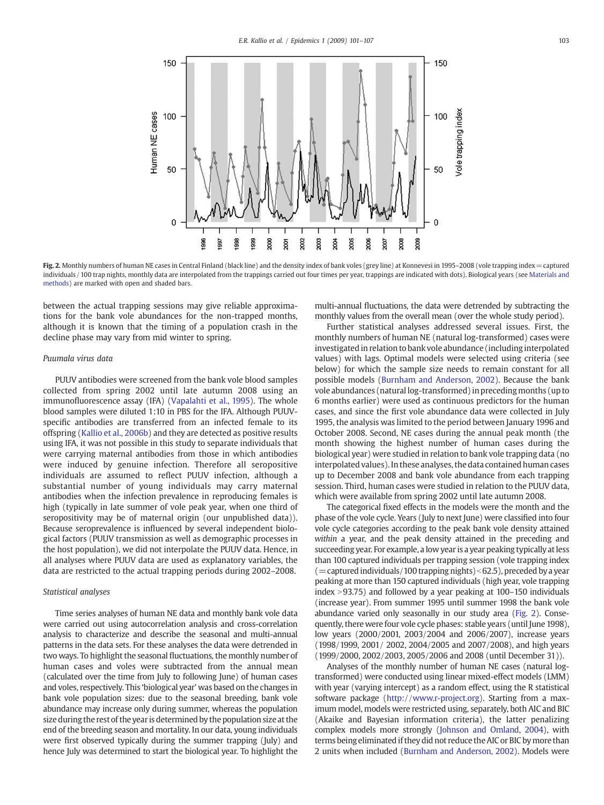<span id="page-2-0"></span>

Fig. 2. Monthly numbers of human NE cases in Central Finland (black line) and the density index of bank voles (grey line) at Konnevesi in 1995–2008 (vole trapping index = captured individuals / 100 trap nights, monthly data are interpolated from the trappings carried out four times per year, trappings are indicated with dots). Biological years (see Materials and methods) are marked with open and shaded bars.

between the actual trapping sessions may give reliable approximations for the bank vole abundances for the non-trapped months, although it is known that the timing of a population crash in the decline phase may vary from mid winter to spring.

#### Puumala virus data

PUUV antibodies were screened from the bank vole blood samples collected from spring 2002 until late autumn 2008 using an immunofluorescence assay (IFA) ([Vapalahti et al., 1995\)](#page-6-0). The whole blood samples were diluted 1:10 in PBS for the IFA. Although PUUVspecific antibodies are transferred from an infected female to its offspring [\(Kallio et al., 2006b](#page-6-0)) and they are detected as positive results using IFA, it was not possible in this study to separate individuals that were carrying maternal antibodies from those in which antibodies were induced by genuine infection. Therefore all seropositive individuals are assumed to reflect PUUV infection, although a substantial number of young individuals may carry maternal antibodies when the infection prevalence in reproducing females is high (typically in late summer of vole peak year, when one third of seropositivity may be of maternal origin (our unpublished data)). Because seroprevalence is influenced by several independent biological factors (PUUV transmission as well as demographic processes in the host population), we did not interpolate the PUUV data. Hence, in all analyses where PUUV data are used as explanatory variables, the data are restricted to the actual trapping periods during 2002–2008.

### Statistical analyses

Time series analyses of human NE data and monthly bank vole data were carried out using autocorrelation analysis and cross-correlation analysis to characterize and describe the seasonal and multi-annual patterns in the data sets. For these analyses the data were detrended in two ways. To highlight the seasonal fluctuations, the monthly number of human cases and voles were subtracted from the annual mean (calculated over the time from July to following June) of human cases and voles, respectively. This 'biological year' was based on the changes in bank vole population sizes: due to the seasonal breeding, bank vole abundance may increase only during summer, whereas the population size during the rest of the yearis determined by the population size at the end of the breeding season and mortality. In our data, young individuals were first observed typically during the summer trapping (July) and hence July was determined to start the biological year. To highlight the multi-annual fluctuations, the data were detrended by subtracting the monthly values from the overall mean (over the whole study period).

Further statistical analyses addressed several issues. First, the monthly numbers of human NE (natural log-transformed) cases were investigated in relation to bank vole abundance (including interpolated values) with lags. Optimal models were selected using criteria (see below) for which the sample size needs to remain constant for all possible models [\(Burnham and Anderson, 2002](#page-6-0)). Because the bank vole abundances (natural log-transformed) in precedingmonths (up to 6 months earlier) were used as continuous predictors for the human cases, and since the first vole abundance data were collected in July 1995, the analysis was limited to the period between January 1996 and October 2008. Second, NE cases during the annual peak month (the month showing the highest number of human cases during the biological year) were studied in relation to bank vole trapping data (no interpolated values). In these analyses, the data contained human cases up to December 2008 and bank vole abundance from each trapping session. Third, human cases were studied in relation to the PUUV data, which were available from spring 2002 until late autumn 2008.

The categorical fixed effects in the models were the month and the phase of the vole cycle. Years (July to next June) were classified into four vole cycle categories according to the peak bank vole density attained within a year, and the peak density attained in the preceding and succeeding year. For example, a low year is a year peaking typically at less than 100 captured individuals per trapping session (vole trapping index  $($  = captured individuals/100 trapping nights) < 62.5), preceded by a year peaking at more than 150 captured individuals (high year, vole trapping index  $>$ 93.75) and followed by a year peaking at 100–150 individuals (increase year). From summer 1995 until summer 1998 the bank vole abundance varied only seasonally in our study area (Fig. 2). Consequently, there were four vole cycle phases: stable years (until June 1998), low years (2000/2001, 2003/2004 and 2006/2007), increase years (1998/1999, 2001/ 2002, 2004/2005 and 2007/2008), and high years (1999/2000, 2002/2003, 2005/2006 and 2008 (until December 31)).

Analyses of the monthly number of human NE cases (natural logtransformed) were conducted using linear mixed-effect models (LMM) with year (varying intercept) as a random effect, using the R statistical software package [\(http://www.r-project.org\)](http://www.r-project.org). Starting from a maximum model, models were restricted using, separately, both AIC and BIC (Akaike and Bayesian information criteria), the latter penalizing complex models more strongly ([Johnson and Omland, 2004\)](#page-6-0), with terms being eliminated if they did not reduce the AIC or BIC by more than 2 units when included [\(Burnham and Anderson, 2002](#page-6-0)). Models were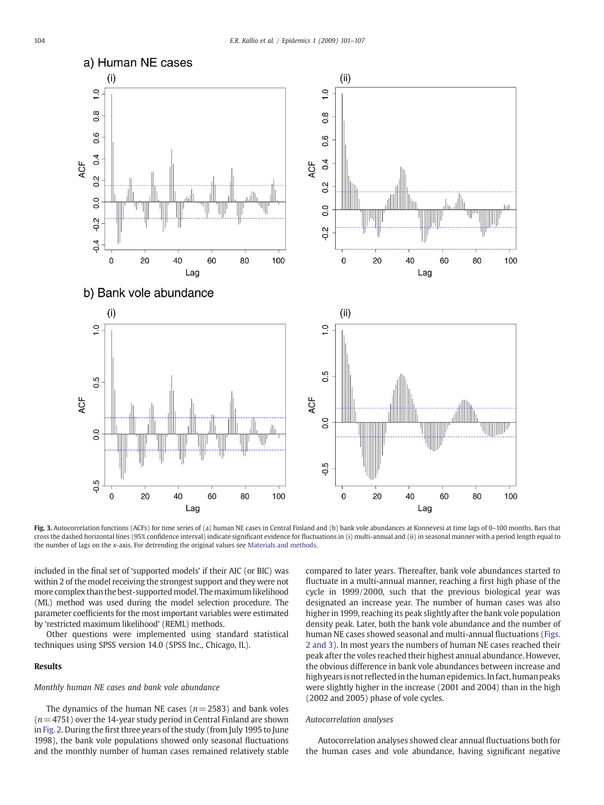<span id="page-3-0"></span>

Fig. 3. Autocorrelation functions (ACFs) for time series of (a) human NE cases in Central Finland and (b) bank vole abundances at Konnevesi at time lags of 0-100 months. Bars that cross the dashed horizontal lines (95% confidence interval) indicate significant evidence for fluctuations in (i) multi-annual and (ii) in seasonal manner with a period length equal to the number of lags on the x-axis. For detrending the original values see Materials and methods.

included in the final set of 'supported models' if their AIC (or BIC) was within 2 of the model receiving the strongest support and they were not more complex than the best-supported model. The maximum likelihood (ML) method was used during the model selection procedure. The parameter coefficients for the most important variables were estimated by 'restricted maximum likelihood' (REML) methods.

Other questions were implemented using standard statistical techniques using SPSS version 14.0 (SPSS Inc., Chicago, IL).

#### Results

Monthly human NE cases and bank vole abundance

The dynamics of the human NE cases ( $n=$  2583) and bank voles  $(n= 4751)$  over the 14-year study period in Central Finland are shown in [Fig. 2.](#page-2-0) During the first three years of the study (from July 1995 to June 1998), the bank vole populations showed only seasonal fluctuations and the monthly number of human cases remained relatively stable compared to later years. Thereafter, bank vole abundances started to fluctuate in a multi-annual manner, reaching a first high phase of the cycle in 1999/2000, such that the previous biological year was designated an increase year. The number of human cases was also higher in 1999, reaching its peak slightly after the bank vole population density peak. Later, both the bank vole abundance and the number of human NE cases showed seasonal and multi-annual fluctuations ([Figs.](#page-2-0) [2 and 3](#page-2-0)). In most years the numbers of human NE cases reached their peak after the voles reached their highest annual abundance. However, the obvious difference in bank vole abundances between increase and high years is not reflected in the human epidemics. In fact, human peaks were slightly higher in the increase (2001 and 2004) than in the high (2002 and 2005) phase of vole cycles.

# Autocorrelation analyses

Autocorrelation analyses showed clear annual fluctuations both for the human cases and vole abundance, having significant negative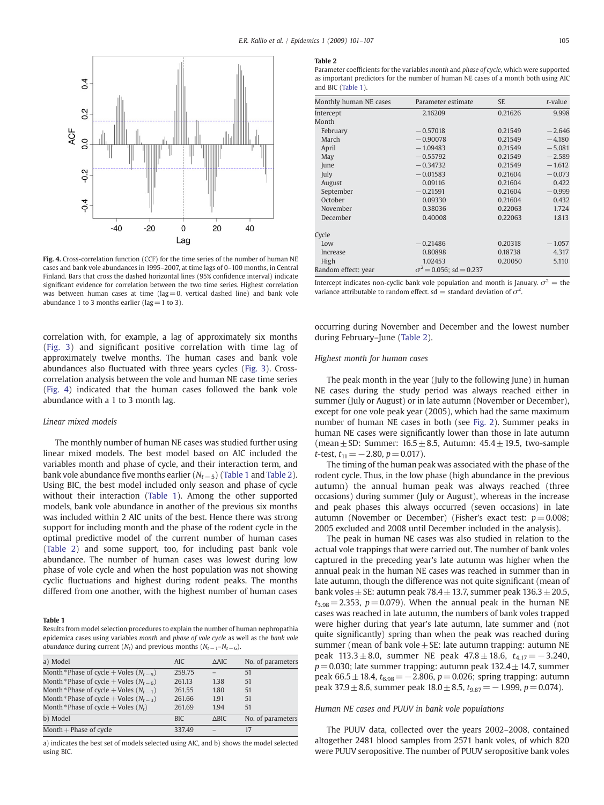<span id="page-4-0"></span>

Fig. 4. Cross-correlation function (CCF) for the time series of the number of human NE cases and bank vole abundances in 1995–2007, at time lags of 0–100 months, in Central Finland. Bars that cross the dashed horizontal lines (95% confidence interval) indicate significant evidence for correlation between the two time series. Highest correlation was between human cases at time ( $lag = 0$ , vertical dashed line) and bank vole abundance 1 to 3 months earlier (lag = 1 to 3).

correlation with, for example, a lag of approximately six months [\(Fig. 3](#page-3-0)) and significant positive correlation with time lag of approximately twelve months. The human cases and bank vole abundances also fluctuated with three years cycles ([Fig. 3](#page-3-0)). Crosscorrelation analysis between the vole and human NE case time series (Fig. 4) indicated that the human cases followed the bank vole abundance with a 1 to 3 month lag.

# Linear mixed models

The monthly number of human NE cases was studied further using linear mixed models. The best model based on AIC included the variables month and phase of cycle, and their interaction term, and bank vole abundance five months earlier  $(N<sub>t−5</sub>)$  (Table 1 and Table 2). Using BIC, the best model included only season and phase of cycle without their interaction (Table 1). Among the other supported models, bank vole abundance in another of the previous six months was included within 2 AIC units of the best. Hence there was strong support for including month and the phase of the rodent cycle in the optimal predictive model of the current number of human cases (Table 2) and some support, too, for including past bank vole abundance. The number of human cases was lowest during low phase of vole cycle and when the host population was not showing cyclic fluctuations and highest during rodent peaks. The months differed from one another, with the highest number of human cases

#### Table 1

Results from model selection procedures to explain the number of human nephropathia epidemica cases using variables month and phase of vole cycle as well as the bank vole *abundance* during current ( $N_t$ ) and previous months ( $N_{t-1}-N_{t-6}$ ).

| a) Model                                 | AIC.       | $\triangle AIC$ | No. of parameters |
|------------------------------------------|------------|-----------------|-------------------|
| Month*Phase of cycle + Voles $(N_{t-5})$ | 259.75     |                 | 51                |
| Month*Phase of cycle + Voles $(N_{t-6})$ | 261.13     | 1.38            | 51                |
| Month*Phase of cycle + Voles $(N_{t-1})$ | 261.55     | 1.80            | 51                |
| Month*Phase of cycle + Voles $(N_{t-3})$ | 261.66     | 1.91            | 51                |
| Month*Phase of cycle + Voles $(N_t)$     | 261.69     | 1.94            | 51                |
| b) Model                                 | <b>BIC</b> | $\triangle BIC$ | No. of parameters |
| Month $+$ Phase of cycle                 | 337.49     |                 | 17                |

a) indicates the best set of models selected using AIC, and b) shows the model selected using BIC.

#### Table 2

Parameter coefficients for the variables month and phase of cycle, which were supported as important predictors for the number of human NE cases of a month both using AIC and BIC (Table 1).

| Monthly human NE cases | Parameter estimate             | <b>SE</b> | t-value  |
|------------------------|--------------------------------|-----------|----------|
| Intercept              | 2.16209                        | 0.21626   | 9.998    |
| Month                  |                                |           |          |
| February               | $-0.57018$                     | 0.21549   | $-2.646$ |
| March                  | $-0.90078$                     | 0.21549   | $-4.180$ |
| April                  | $-1.09483$                     | 0.21549   | $-5.081$ |
| May                    | $-0.55792$                     | 0.21549   | $-2.589$ |
| June                   | $-0.34732$                     | 0.21549   | $-1.612$ |
| July                   | $-0.01583$                     | 0.21604   | $-0.073$ |
| August                 | 0.09116                        | 0.21604   | 0.422    |
| September              | $-0.21591$                     | 0.21604   | $-0.999$ |
| October                | 0.09330                        | 0.21604   | 0.432    |
| November               | 0.38036                        | 0.22063   | 1.724    |
| December               | 0.40008                        | 0.22063   | 1.813    |
| Cycle                  |                                |           |          |
| Low                    | $-0.21486$                     | 0.20318   | $-1.057$ |
| Increase               | 0.80898                        | 0.18738   | 4.317    |
| High                   | 1.02453                        | 0.20050   | 5.110    |
| Random effect: year    | $\sigma^2$ = 0.056; sd = 0.237 |           |          |

Intercept indicates non-cyclic bank vole population and month is January.  $\sigma^2 =$  the variance attributable to random effect. sd = standard deviation of  $\sigma^2$ .

occurring during November and December and the lowest number during February–June (Table 2).

#### Highest month for human cases

The peak month in the year (July to the following June) in human NE cases during the study period was always reached either in summer (July or August) or in late autumn (November or December), except for one vole peak year (2005), which had the same maximum number of human NE cases in both (see [Fig. 2](#page-2-0)). Summer peaks in human NE cases were significantly lower than those in late autumn (mean  $\pm$  SD: Summer: 16.5 $\pm$  8.5, Autumn: 45.4 $\pm$  19.5, two-sample t-test,  $t_{11} = -2.80$ ,  $p = 0.017$ ).

The timing of the human peak was associated with the phase of the rodent cycle. Thus, in the low phase (high abundance in the previous autumn) the annual human peak was always reached (three occasions) during summer (July or August), whereas in the increase and peak phases this always occurred (seven occasions) in late autumn (November or December) (Fisher's exact test:  $p = 0.008$ ; 2005 excluded and 2008 until December included in the analysis).

The peak in human NE cases was also studied in relation to the actual vole trappings that were carried out. The number of bank voles captured in the preceding year's late autumn was higher when the annual peak in the human NE cases was reached in summer than in late autumn, though the difference was not quite significant (mean of bank voles  $\pm$  SE: autumn peak 78.4  $\pm$  13.7, summer peak 136.3  $\pm$  20.5,  $t_{3.98}= 2.353$ ,  $p= 0.079$ ). When the annual peak in the human NE cases was reached in late autumn, the numbers of bank voles trapped were higher during that year's late autumn, late summer and (not quite significantly) spring than when the peak was reached during summer (mean of bank vole  $\pm$  SE: late autumn trapping: autumn NE peak  $113.3 \pm 8.0$ , summer NE peak  $47.8 \pm 18.6$ ,  $t_{4.17} = -3.240$ ,  $p = 0.030$ ; late summer trapping: autumn peak 132.4  $\pm$  14.7, summer peak  $66.5 \pm 18.4$ ,  $t_{6.98} = -2.806$ ,  $p = 0.026$ ; spring trapping: autumn peak 37.9 ± 8.6, summer peak  $18.0 \pm 8.5$ ,  $t_{9.87} = -1.999$ ,  $p = 0.074$ ).

#### Human NE cases and PUUV in bank vole populations

The PUUV data, collected over the years 2002–2008, contained altogether 2481 blood samples from 2571 bank voles, of which 820 were PUUV seropositive. The number of PUUV seropositive bank voles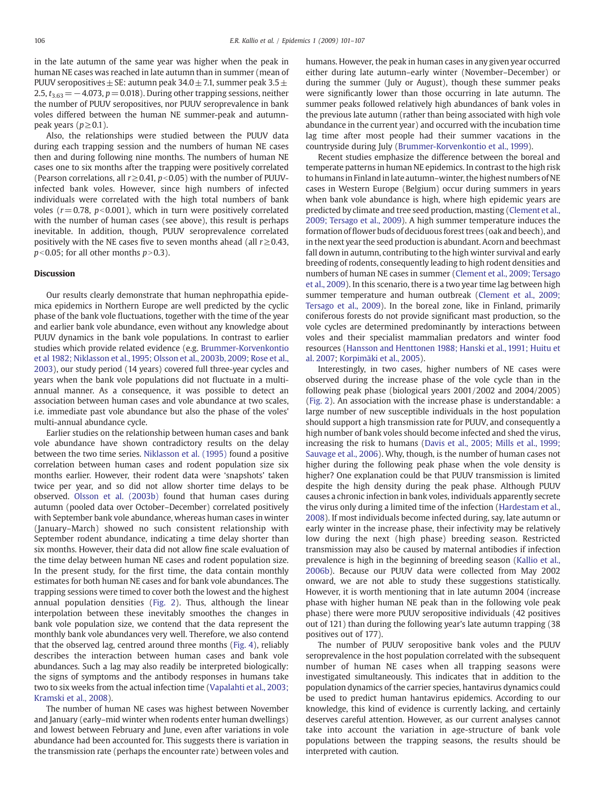in the late autumn of the same year was higher when the peak in human NE cases was reached in late autumn than in summer (mean of PUUV seropositives  $\pm$  SE: autumn peak 34.0  $\pm$  7.1, summer peak 3.5  $\pm$ 2.5,  $t_{3.63}$  = −4.073, p = 0.018). During other trapping sessions, neither the number of PUUV seropositives, nor PUUV seroprevalence in bank voles differed between the human NE summer-peak and autumnpeak years ( $p \geq 0.1$ ).

Also, the relationships were studied between the PUUV data during each trapping session and the numbers of human NE cases then and during following nine months. The numbers of human NE cases one to six months after the trapping were positively correlated (Pearson correlations, all  $r \geq 0.41$ ,  $p < 0.05$ ) with the number of PUUVinfected bank voles. However, since high numbers of infected individuals were correlated with the high total numbers of bank voles ( $r = 0.78$ ,  $p < 0.001$ ), which in turn were positively correlated with the number of human cases (see above), this result is perhaps inevitable. In addition, though, PUUV seroprevalence correlated positively with the NE cases five to seven months ahead (all  $r \geq 0.43$ ,  $p<0.05$ ; for all other months  $p>0.3$ ).

#### **Discussion**

Our results clearly demonstrate that human nephropathia epidemica epidemics in Northern Europe are well predicted by the cyclic phase of the bank vole fluctuations, together with the time of the year and earlier bank vole abundance, even without any knowledge about PUUV dynamics in the bank vole populations. In contrast to earlier studies which provide related evidence (e.g. [Brummer-Korvenkontio](#page-6-0) [et al 1982; Niklasson et al., 1995; Olsson et al., 2003b, 2009; Rose et al.,](#page-6-0) [2003](#page-6-0)), our study period (14 years) covered full three-year cycles and years when the bank vole populations did not fluctuate in a multiannual manner. As a consequence, it was possible to detect an association between human cases and vole abundance at two scales, i.e. immediate past vole abundance but also the phase of the voles' multi-annual abundance cycle.

Earlier studies on the relationship between human cases and bank vole abundance have shown contradictory results on the delay between the two time series. [Niklasson et al. \(1995\)](#page-6-0) found a positive correlation between human cases and rodent population size six months earlier. However, their rodent data were 'snapshots' taken twice per year, and so did not allow shorter time delays to be observed. [Olsson et al. \(2003b\)](#page-6-0) found that human cases during autumn (pooled data over October–December) correlated positively with September bank vole abundance, whereas human cases in winter (January–March) showed no such consistent relationship with September rodent abundance, indicating a time delay shorter than six months. However, their data did not allow fine scale evaluation of the time delay between human NE cases and rodent population size. In the present study, for the first time, the data contain monthly estimates for both human NE cases and for bank vole abundances. The trapping sessions were timed to cover both the lowest and the highest annual population densities ([Fig. 2](#page-2-0)). Thus, although the linear interpolation between these inevitably smoothes the changes in bank vole population size, we contend that the data represent the monthly bank vole abundances very well. Therefore, we also contend that the observed lag, centred around three months [\(Fig. 4\)](#page-4-0), reliably describes the interaction between human cases and bank vole abundances. Such a lag may also readily be interpreted biologically: the signs of symptoms and the antibody responses in humans take two to six weeks from the actual infection time ([Vapalahti et al., 2003;](#page-6-0) [Kramski et al., 2008](#page-6-0)).

The number of human NE cases was highest between November and January (early–mid winter when rodents enter human dwellings) and lowest between February and June, even after variations in vole abundance had been accounted for. This suggests there is variation in the transmission rate (perhaps the encounter rate) between voles and humans. However, the peak in human cases in any given year occurred either during late autumn–early winter (November–December) or during the summer (July or August), though these summer peaks were significantly lower than those occurring in late autumn. The summer peaks followed relatively high abundances of bank voles in the previous late autumn (rather than being associated with high vole abundance in the current year) and occurred with the incubation time lag time after most people had their summer vacations in the countryside during July ([Brummer-Korvenkontio et al., 1999\)](#page-6-0).

Recent studies emphasize the difference between the boreal and temperate patterns in human NE epidemics. In contrast to the high risk to humans in Finland in late autumn–winter, the highest numbers of NE cases in Western Europe (Belgium) occur during summers in years when bank vole abundance is high, where high epidemic years are predicted by climate and tree seed production, masting [\(Clement et al.,](#page-6-0) [2009; Tersago et al., 2009\)](#page-6-0). A high summer temperature induces the formation of flower buds of deciduous forest trees (oak and beech), and in the next year the seed production is abundant. Acorn and beechmast fall down in autumn, contributing to the high winter survival and early breeding of rodents, consequently leading to high rodent densities and numbers of human NE cases in summer [\(Clement et al., 2009; Tersago](#page-6-0) [et al., 2009\)](#page-6-0). In this scenario, there is a two year time lag between high summer temperature and human outbreak [\(Clement et al., 2009;](#page-6-0) [Tersago et al., 2009](#page-6-0)). In the boreal zone, like in Finland, primarily coniferous forests do not provide significant mast production, so the vole cycles are determined predominantly by interactions between voles and their specialist mammalian predators and winter food resources ([Hansson and Henttonen 1988; Hanski et al., 1991; Huitu et](#page-6-0) [al. 2007](#page-6-0); [Korpimäki et al., 2005](#page-6-0)).

Interestingly, in two cases, higher numbers of NE cases were observed during the increase phase of the vole cycle than in the following peak phase (biological years 2001/2002 and 2004/2005) [\(Fig. 2\)](#page-2-0). An association with the increase phase is understandable: a large number of new susceptible individuals in the host population should support a high transmission rate for PUUV, and consequently a high number of bank voles should become infected and shed the virus, increasing the risk to humans [\(Davis et al., 2005; Mills et al., 1999;](#page-6-0) [Sauvage et al., 2006\)](#page-6-0). Why, though, is the number of human cases not higher during the following peak phase when the vole density is higher? One explanation could be that PUUV transmission is limited despite the high density during the peak phase. Although PUUV causes a chronic infection in bank voles, individuals apparently secrete the virus only during a limited time of the infection [\(Hardestam et al.,](#page-6-0) [2008](#page-6-0)). If most individuals become infected during, say, late autumn or early winter in the increase phase, their infectivity may be relatively low during the next (high phase) breeding season. Restricted transmission may also be caused by maternal antibodies if infection prevalence is high in the beginning of breeding season ([Kallio et al.,](#page-6-0) [2006b\)](#page-6-0). Because our PUUV data were collected from May 2002 onward, we are not able to study these suggestions statistically. However, it is worth mentioning that in late autumn 2004 (increase phase with higher human NE peak than in the following vole peak phase) there were more PUUV seropositive individuals (42 positives out of 121) than during the following year's late autumn trapping (38 positives out of 177).

The number of PUUV seropositive bank voles and the PUUV seroprevalence in the host population correlated with the subsequent number of human NE cases when all trapping seasons were investigated simultaneously. This indicates that in addition to the population dynamics of the carrier species, hantavirus dynamics could be used to predict human hantavirus epidemics. According to our knowledge, this kind of evidence is currently lacking, and certainly deserves careful attention. However, as our current analyses cannot take into account the variation in age-structure of bank vole populations between the trapping seasons, the results should be interpreted with caution.